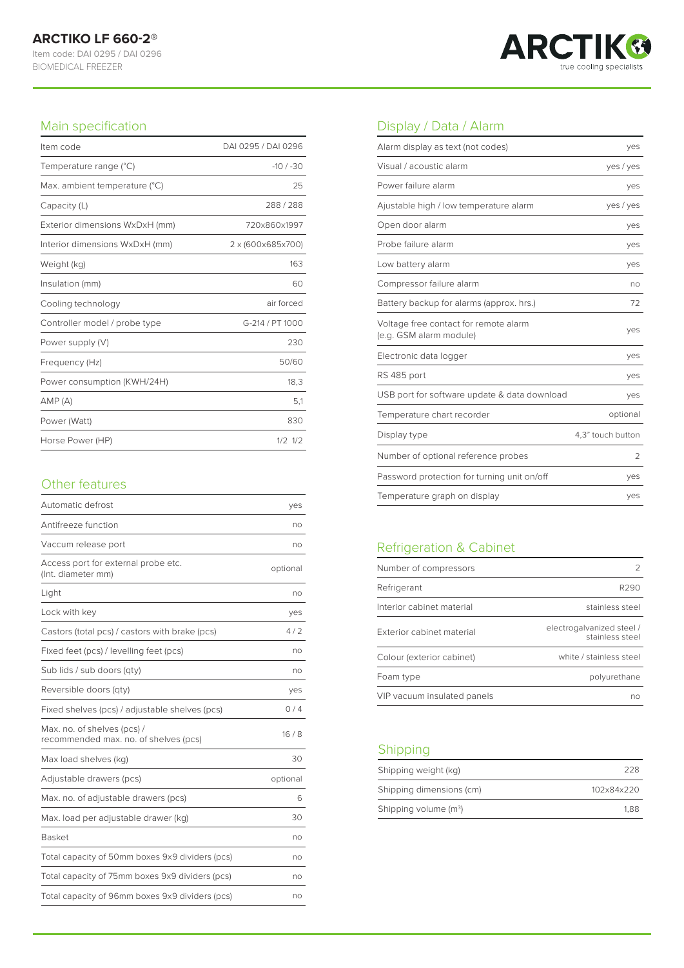

#### Main specification

| Item code                      | DAI 0295 / DAI 0296 |
|--------------------------------|---------------------|
| Temperature range (°C)         | $-10/ -30$          |
| Max. ambient temperature (°C)  | 25                  |
| Capacity (L)                   | 288/288             |
| Exterior dimensions WxDxH (mm) | 720x860x1997        |
| Interior dimensions WxDxH (mm) | 2 x (600x685x700)   |
| Weight (kg)                    | 163                 |
| Insulation (mm)                | 60                  |
| Cooling technology             | air forced          |
| Controller model / probe type  | G-214 / PT 1000     |
| Power supply (V)               | 230                 |
| Frequency (Hz)                 | 50/60               |
| Power consumption (KWH/24H)    | 18,3                |
| AMP(A)                         | 5,1                 |
| Power (Watt)                   | 830                 |
| Horse Power (HP)               | $1/2$ $1/2$         |

#### Other features

| Automatic defrost                                                    | yes      |
|----------------------------------------------------------------------|----------|
| Antifreeze function                                                  | no       |
| Vaccum release port                                                  | no       |
| Access port for external probe etc.<br>(Int. diameter mm)            | optional |
| Light                                                                | no       |
| Lock with key                                                        | yes      |
| Castors (total pcs) / castors with brake (pcs)                       | 4/2      |
| Fixed feet (pcs) / levelling feet (pcs)                              | no       |
| Sub lids / sub doors (qty)                                           | no       |
| Reversible doors (qty)                                               | yes      |
| Fixed shelves (pcs) / adjustable shelves (pcs)                       | 0/4      |
| Max. no. of shelves (pcs) /<br>recommended max. no. of shelves (pcs) | 16/8     |
| Max load shelves (kg)                                                | 30       |
| Adjustable drawers (pcs)                                             | optional |
| Max. no. of adjustable drawers (pcs)                                 | 6        |
| Max. load per adjustable drawer (kg)                                 | 30       |
| <b>Basket</b>                                                        | no       |
| Total capacity of 50mm boxes 9x9 dividers (pcs)                      | no       |
| Total capacity of 75mm boxes 9x9 dividers (pcs)                      | no       |
| Total capacity of 96mm boxes 9x9 dividers (pcs)                      | no       |

# Display / Data / Alarm

| Alarm display as text (not codes)                                | yes               |
|------------------------------------------------------------------|-------------------|
| Visual / acoustic alarm                                          | yes / yes         |
| Power failure alarm                                              | yes               |
| Ajustable high / low temperature alarm                           | yes / yes         |
| Open door alarm                                                  | yes               |
| Probe failure alarm                                              | yes               |
| Low battery alarm                                                | yes               |
| Compressor failure alarm                                         | no                |
| Battery backup for alarms (approx. hrs.)                         | 72                |
| Voltage free contact for remote alarm<br>(e.g. GSM alarm module) | yes               |
| Electronic data logger                                           | yes               |
| RS 485 port                                                      | yes               |
| USB port for software update & data download                     | yes               |
| Temperature chart recorder                                       | optional          |
| Display type                                                     | 4,3" touch button |
| Number of optional reference probes                              | 2                 |
| Password protection for turning unit on/off                      | yes               |
| Temperature graph on display                                     | yes               |

# Refrigeration & Cabinet

| Number of compressors       |                                              |
|-----------------------------|----------------------------------------------|
| Refrigerant                 | R290                                         |
| Interior cabinet material   | stainless steel                              |
| Exterior cabinet material   | electrogalvanized steel /<br>stainless steel |
| Colour (exterior cabinet)   | white / stainless steel                      |
| Foam type                   | polyurethane                                 |
| VIP vacuum insulated panels | nn                                           |

## Shipping

| Shipping weight (kg)     | 228        |
|--------------------------|------------|
| Shipping dimensions (cm) | 102x84x220 |
| Shipping volume $(m^3)$  | 1.88       |